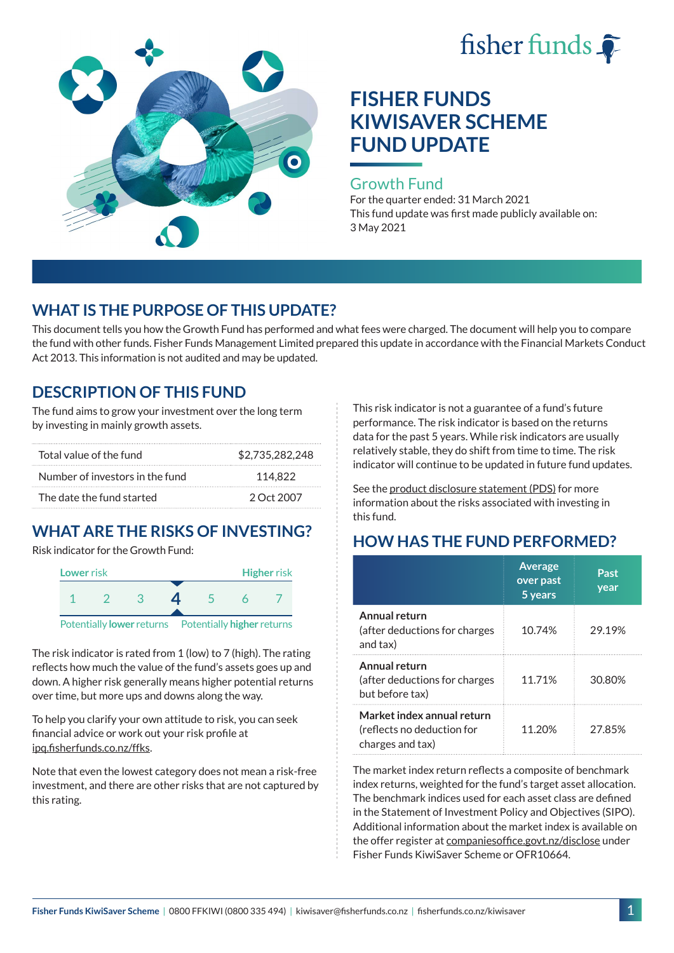



### Growth Fund

For the quarter ended: 31 March 2021 This fund update was first made publicly available on: 3 May 2021

## **WHAT IS THE PURPOSE OF THIS UPDATE?**

This document tells you how the Growth Fund has performed and what fees were charged. The document will help you to compare the fund with other funds. Fisher Funds Management Limited prepared this update in accordance with the Financial Markets Conduct Act 2013. This information is not audited and may be updated.

## **DESCRIPTION OF THIS FUND**

The fund aims to grow your investment over the long term by investing in mainly growth assets.

| Total value of the fund         | \$2,735,282,248 |  |  |
|---------------------------------|-----------------|--|--|
| Number of investors in the fund | 114.822         |  |  |
| The date the fund started       | 2 Oct 2007      |  |  |

# **WHAT ARE THE RISKS OF INVESTING?**

Risk indicator for the Growth Fund:



The risk indicator is rated from 1 (low) to 7 (high). The rating reflects how much the value of the fund's assets goes up and down. A higher risk generally means higher potential returns over time, but more ups and downs along the way.

To help you clarify your own attitude to risk, you can seek financial advice or work out your risk profile at [ipq.fisherfunds.co.nz/ffks](https://ipq.fisherfunds.co.nz/ffks).

Note that even the lowest category does not mean a risk-free investment, and there are other risks that are not captured by this rating.

This risk indicator is not a guarantee of a fund's future performance. The risk indicator is based on the returns data for the past 5 years. While risk indicators are usually relatively stable, they do shift from time to time. The risk indicator will continue to be updated in future fund updates.

See the [product disclosure statement \(PDS\)](https://fisherfunds.co.nz/assets/PDS/Fisher-Funds-KiwiSaver-Scheme-PDS.pdf) for more information about the risks associated with investing in this fund.

## **HOW HAS THE FUND PERFORMED?**

|                                                                              | <b>Average</b><br>over past<br>5 years | Past<br>year |
|------------------------------------------------------------------------------|----------------------------------------|--------------|
| Annual return<br>(after deductions for charges<br>and tax)                   | 10.74%                                 | 29.19%       |
| Annual return<br>(after deductions for charges<br>but before tax)            | 11.71%                                 | 30.80%       |
| Market index annual return<br>(reflects no deduction for<br>charges and tax) | 11.20%                                 | 27.85%       |

The market index return reflects a composite of benchmark index returns, weighted for the fund's target asset allocation. The benchmark indices used for each asset class are defined in the Statement of Investment Policy and Objectives (SIPO). Additional information about the market index is available on the offer register at [companiesoffice.govt.nz/disclose](http://companiesoffice.govt.nz/disclose) under Fisher Funds KiwiSaver Scheme or OFR10664.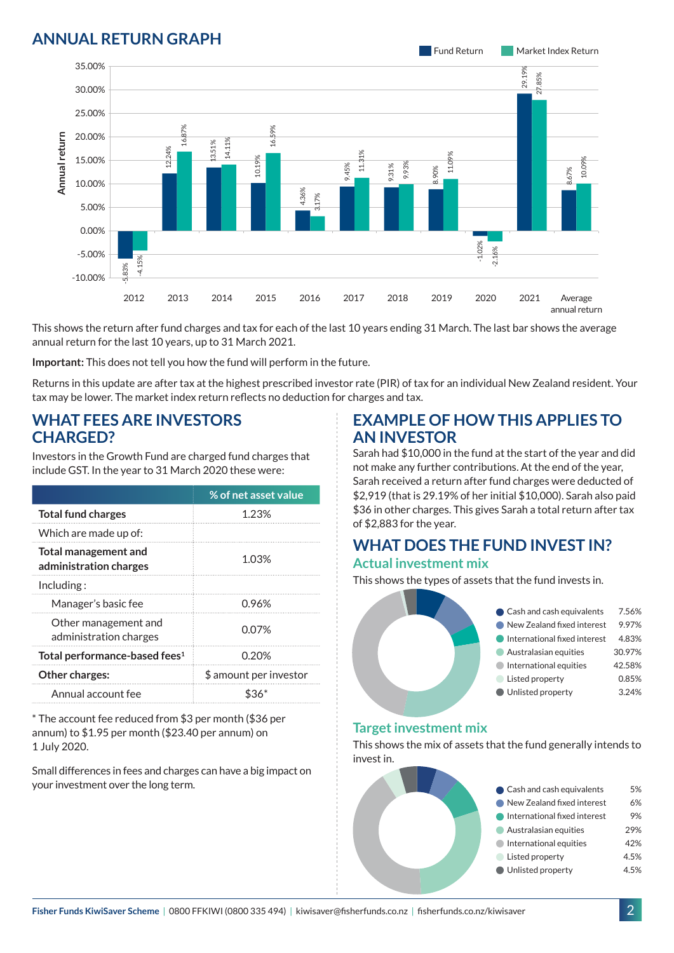## **ANNUAL RETURN GRAPH**



This shows the return after fund charges and tax for each of the last 10 years ending 31 March. The last bar shows the average annual return for the last 10 years, up to 31 March 2021.

**Important:** This does not tell you how the fund will perform in the future.

Returns in this update are after tax at the highest prescribed investor rate (PIR) of tax for an individual New Zealand resident. Your tax may be lower. The market index return reflects no deduction for charges and tax.

### **WHAT FEES ARE INVESTORS CHARGED?**

Investors in the Growth Fund are charged fund charges that include GST. In the year to 31 March 2020 these were:

|                                                       | % of net asset value   |  |
|-------------------------------------------------------|------------------------|--|
| <b>Total fund charges</b>                             | 1.23%                  |  |
| Which are made up of:                                 |                        |  |
| <b>Total management and</b><br>administration charges | 1.03%                  |  |
| Including:                                            |                        |  |
| Manager's basic fee                                   | 0.96%                  |  |
| Other management and<br>administration charges        | 0.07%                  |  |
| Total performance-based fees <sup>1</sup>             | 0.20%                  |  |
| Other charges:                                        | \$ amount per investor |  |
| Annual account fee                                    |                        |  |

\* The account fee reduced from \$3 per month (\$36 per annum) to \$1.95 per month (\$23.40 per annum) on 1 July 2020.

Small differences in fees and charges can have a big impact on your investment over the long term.

### **EXAMPLE OF HOW THIS APPLIES TO AN INVESTOR**

Sarah had \$10,000 in the fund at the start of the year and did not make any further contributions. At the end of the year, Sarah received a return after fund charges were deducted of \$2,919 (that is 29.19% of her initial \$10,000). Sarah also paid \$36 in other charges. This gives Sarah a total return after tax of \$2,883 for the year.

#### **WHAT DOES THE FUND INVEST IN? Actual investment mix**

This shows the types of assets that the fund invests in.



#### **Target investment mix**

This shows the mix of assets that the fund generally intends to invest in.